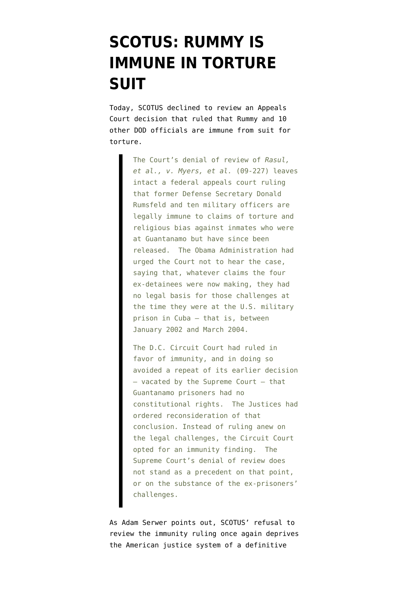## **[SCOTUS: RUMMY IS](https://www.emptywheel.net/2009/12/14/scotus-rummy-is-immune-in-torture-suit/) [IMMUNE IN TORTURE](https://www.emptywheel.net/2009/12/14/scotus-rummy-is-immune-in-torture-suit/) [SUIT](https://www.emptywheel.net/2009/12/14/scotus-rummy-is-immune-in-torture-suit/)**

Today, SCOTUS [declined to review](http://www.scotusblog.com/wp/torture-chrysler-cases-ended-3-grants/) an Appeals Court decision that ruled that Rummy and 10 other DOD officials are immune from suit for torture.

> The Court's denial of review of *Rasul, et al., v. Myers, et al.* (09-227) leaves intact a federal appeals court ruling that former Defense Secretary Donald Rumsfeld and ten military officers are legally immune to claims of torture and religious bias against inmates who were at Guantanamo but have since been released. The Obama Administration had urged the Court not to hear the case, saying that, whatever claims the four ex-detainees were now making, they had no legal basis for those challenges at the time they were at the U.S. military prison in Cuba — that is, between January 2002 and March 2004.

> The D.C. Circuit Court had ruled in favor of immunity, and in doing so avoided a repeat of its earlier decision — vacated by the Supreme Court — that Guantanamo prisoners had no constitutional rights. The Justices had ordered reconsideration of that conclusion. Instead of ruling anew on the legal challenges, the Circuit Court opted for an immunity finding. The Supreme Court's denial of review does not stand as a precedent on that point, or on the substance of the ex-prisoners' challenges.

As Adam Serwer [points out,](http://www.prospect.org/csnc/blogs/tapped_archive?month=12&year=2009&base_name=scotus_rejects_detainee_tortur) SCOTUS' refusal to review the immunity ruling once again deprives the American justice system of a definitive